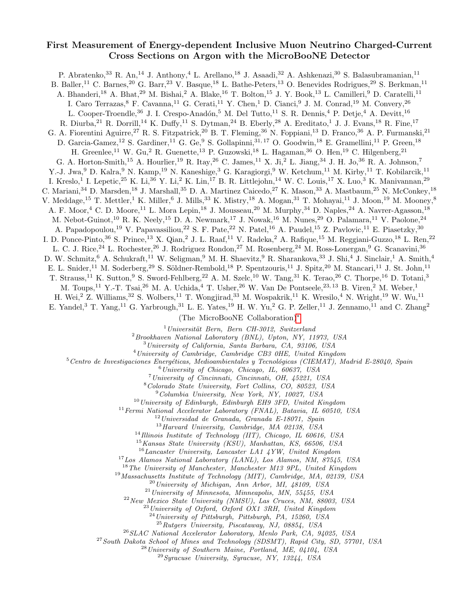## First Measurement of Energy-dependent Inclusive Muon Neutrino Charged-Current Cross Sections on Argon with the MicroBooNE Detector

P. Abratenko,<sup>33</sup> R. An,<sup>14</sup> J. Anthony,<sup>4</sup> L. Arellano,<sup>18</sup> J. Asaadi,<sup>32</sup> A. Ashkenazi,<sup>30</sup> S. Balasubramanian,<sup>11</sup> B. Baller,<sup>11</sup> C. Barnes,<sup>20</sup> G. Barr,<sup>23</sup> V. Basque,<sup>18</sup> L. Bathe-Peters,<sup>13</sup> O. Benevides Rodrigues,<sup>29</sup> S. Berkman,<sup>11</sup> A. Bhanderi,<sup>18</sup> A. Bhat,<sup>29</sup> M. Bishai,<sup>2</sup> A. Blake,<sup>16</sup> T. Bolton,<sup>15</sup> J. Y. Book,<sup>13</sup> L. Camilleri,<sup>9</sup> D. Caratelli,<sup>11</sup> I. Caro Terrazas, <sup>8</sup> F. Cavanna, <sup>11</sup> G. Cerati, <sup>11</sup> Y. Chen, <sup>1</sup> D. Cianci, <sup>9</sup> J. M. Conrad, <sup>19</sup> M. Convery, <sup>26</sup> L. Cooper-Troendle,<sup>36</sup> J. I. Crespo-Anadón,<sup>5</sup> M. Del Tutto,<sup>11</sup> S. R. Dennis,<sup>4</sup> P. Detje,<sup>4</sup> A. Devitt,<sup>16</sup> R. Diurba,  $^{21}$  R. Dorrill,  $^{14}$  K. Duffy,  $^{11}$  S. Dytman,  $^{24}$  B. Eberly,  $^{28}$  A. Ereditato, <sup>1</sup> J. J. Evans,  $^{18}$  R. Fine,  $^{17}$ G. A. Fiorentini Aguirre,<sup>27</sup> R. S. Fitzpatrick,<sup>20</sup> B. T. Fleming,<sup>36</sup> N. Foppiani,<sup>13</sup> D. Franco,<sup>36</sup> A. P. Furmanski,<sup>21</sup> D. Garcia-Gamez,<sup>12</sup> S. Gardiner,<sup>11</sup> G. Ge,<sup>9</sup> S. Gollapinni,<sup>31, 17</sup> O. Goodwin,<sup>18</sup> E. Gramellini,<sup>11</sup> P. Green,<sup>18</sup> H. Greenlee,<sup>11</sup> W. Gu,<sup>2</sup> R. Guenette,<sup>13</sup> P. Guzowski,<sup>18</sup> L. Hagaman,<sup>36</sup> O. Hen,<sup>19</sup> C. Hilgenberg,<sup>21</sup> G. A. Horton-Smith,<sup>15</sup> A. Hourlier,<sup>19</sup> R. Itay,<sup>26</sup> C. James,<sup>11</sup> X. Ji,<sup>2</sup> L. Jiang,<sup>34</sup> J. H. Jo,<sup>36</sup> R. A. Johnson,<sup>7</sup> Y.-J. Jwa,<sup>9</sup> D. Kalra,<sup>9</sup> N. Kamp,<sup>19</sup> N. Kaneshige,<sup>3</sup> G. Karagiorgi,<sup>9</sup> W. Ketchum,<sup>11</sup> M. Kirby,<sup>11</sup> T. Kobilarcik,<sup>11</sup> I. Kreslo,<sup>1</sup> I. Lepetic,<sup>25</sup> K. Li,<sup>36</sup> Y. Li,<sup>2</sup> K. Lin,<sup>17</sup> B. R. Littlejohn,<sup>14</sup> W. C. Louis,<sup>17</sup> X. Luo,<sup>3</sup> K. Manivannan,<sup>29</sup> C. Mariani,<sup>34</sup> D. Marsden,<sup>18</sup> J. Marshall,<sup>35</sup> D. A. Martinez Caicedo,<sup>27</sup> K. Mason,<sup>33</sup> A. Mastbaum,<sup>25</sup> N. McConkey,<sup>18</sup> V. Meddage, <sup>15</sup> T. Mettler, <sup>1</sup> K. Miller, <sup>6</sup> J. Mills, <sup>33</sup> K. Mistry, <sup>18</sup> A. Mogan, <sup>31</sup> T. Mohayai, <sup>11</sup> J. Moon, <sup>19</sup> M. Mooney, <sup>8</sup> A. F. Moor,<sup>4</sup> C. D. Moore,<sup>11</sup> L. Mora Lepin,<sup>18</sup> J. Mousseau,<sup>20</sup> M. Murphy,<sup>34</sup> D. Naples,<sup>24</sup> A. Navrer-Agasson,<sup>18</sup> M. Nebot-Guinot,<sup>10</sup> R. K. Neely,<sup>15</sup> D. A. Newmark,<sup>17</sup> J. Nowak,<sup>16</sup> M. Nunes,<sup>29</sup> O. Palamara,<sup>11</sup> V. Paolone,<sup>24</sup> A. Papadopoulou,<sup>19</sup> V. Papavassiliou,<sup>22</sup> S. F. Pate,<sup>22</sup> N. Patel,<sup>16</sup> A. Paudel,<sup>15</sup> Z. Pavlovic,<sup>11</sup> E. Piasetzky,<sup>30</sup> I. D. Ponce-Pinto,<sup>36</sup> S. Prince,<sup>13</sup> X. Qian,<sup>2</sup> J. L. Raaf,<sup>11</sup> V. Radeka,<sup>2</sup> A. Rafique,<sup>15</sup> M. Reggiani-Guzzo,<sup>18</sup> L. Ren,<sup>22</sup> L. C. J. Rice,<sup>24</sup> L. Rochester,<sup>26</sup> J. Rodriguez Rondon,<sup>27</sup> M. Rosenberg,<sup>24</sup> M. Ross-Lonergan,<sup>9</sup> G. Scanavini,<sup>36</sup> D. W. Schmitz, <sup>6</sup> A. Schukraft, <sup>11</sup> W. Seligman, <sup>9</sup> M. H. Shaevitz, <sup>9</sup> R. Sharankova, <sup>33</sup> J. Shi, <sup>4</sup> J. Sinclair, <sup>1</sup> A. Smith, <sup>4</sup> E. L. Snider,<sup>11</sup> M. Soderberg,<sup>29</sup> S. Söldner-Rembold,<sup>18</sup> P. Spentzouris,<sup>11</sup> J. Spitz,<sup>20</sup> M. Stancari,<sup>11</sup> J. St. John,<sup>11</sup> T. Strauss,<sup>11</sup> K. Sutton,<sup>9</sup> S. Sword-Fehlberg,<sup>22</sup> A. M. Szelc,<sup>10</sup> W. Tang,<sup>31</sup> K. Terao,<sup>26</sup> C. Thorpe,<sup>16</sup> D. Totani,<sup>3</sup> M. Toups,<sup>11</sup> Y.-T. Tsai,<sup>26</sup> M. A. Uchida,<sup>4</sup> T. Usher,<sup>26</sup> W. Van De Pontseele,<sup>23, 13</sup> B. Viren,<sup>2</sup> M. Weber,<sup>1</sup> H. Wei,<sup>2</sup> Z. Williams,<sup>32</sup> S. Wolbers,<sup>11</sup> T. Wongjirad,<sup>33</sup> M. Wospakrik,<sup>11</sup> K. Wresilo,<sup>4</sup> N. Wright,<sup>19</sup> W. Wu,<sup>11</sup> E. Yandel,<sup>3</sup> T. Yang,<sup>11</sup> G. Yarbrough,<sup>31</sup> L. E. Yates,<sup>19</sup> H. W. Yu,<sup>2</sup> G. P. Zeller,<sup>11</sup> J. Zennamo,<sup>11</sup> and C. Zhang<sup>2</sup> (The MicroBooNE Collaboration)[∗](#page-1-0)  $1$ Universität Bern, Bern CH-3012, Switzerland  $^{2}$ Brookhaven National Laboratory (BNL), Upton, NY, 11973, USA

<sup>3</sup>University of California, Santa Barbara, CA, 93106, USA

<sup>4</sup>University of Cambridge, Cambridge CB3 0HE, United Kingdom

 $5$ Centro de Investigaciones Energéticas, Medioambientales y Tecnológicas (CIEMAT), Madrid E-28040, Spain

<sup>6</sup>University of Chicago, Chicago, IL, 60637, USA

<sup>7</sup>University of Cincinnati, Cincinnati, OH, 45221, USA

<sup>8</sup>Colorado State University, Fort Collins, CO, 80523, USA

<sup>9</sup>Columbia University, New York, NY, 10027, USA

 $10$ University of Edinburgh, Edinburgh EH9 3FD, United Kingdom

 $11$  Fermi National Accelerator Laboratory (FNAL), Batavia, IL 60510, USA

 $12$ Universidad de Granada, Granada E-18071, Spain

 $^{13}$ Harvard University, Cambridge, MA 02138, USA

 $14$ Illinois Institute of Technology (IIT), Chicago, IL 60616, USA

<sup>15</sup>Kansas State University (KSU), Manhattan, KS, 66506, USA  $^{16}Lancaster$ University, Lancaster LA1  $\,4\,YW$ , United Kingdom

<sup>17</sup>Los Alamos National Laboratory (LANL), Los Alamos, NM, 87545, USA

<sup>18</sup>The University of Manchester, Manchester M13 9PL, United Kingdom

<sup>19</sup>Massachusetts Institute of Technology (MIT), Cambridge, MA, 02139, USA

 $^{20}$ University of Michigan, Ann Arbor, MI, 48109, USA

 $^{21}$ University of Minnesota, Minneapolis, MN, 55455, USA

<sup>22</sup>New Mexico State University (NMSU), Las Cruces, NM, 88003, USA

<sup>23</sup>University of Oxford, Oxford OX1 3RH, United Kingdom

<sup>24</sup>University of Pittsburgh, Pittsburgh, PA, 15260, USA

<sup>25</sup>Rutgers University, Piscataway, NJ, 08854, USA

<sup>26</sup>SLAC National Accelerator Laboratory, Menlo Park, CA, 94025, USA

<sup>27</sup> South Dakota School of Mines and Technology (SDSMT), Rapid City, SD, 57701, USA

<sup>28</sup>University of Southern Maine, Portland, ME, 04104, USA

 $^{29}Syracuse$  University, Syracuse, NY, 13244, USA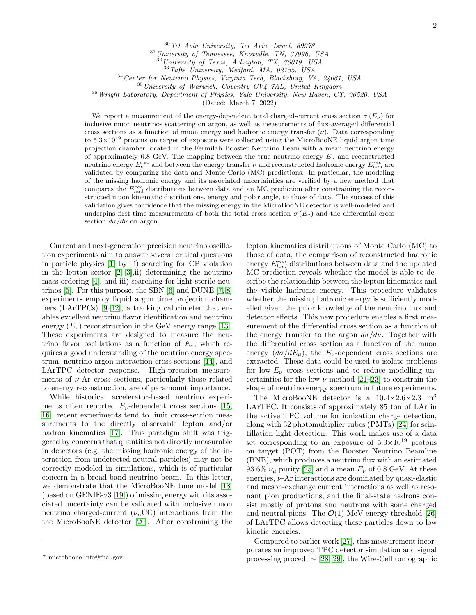<sup>30</sup>Tel Aviv University, Tel Aviv, Israel, 69978

<sup>31</sup>University of Tennessee, Knoxville, TN, 37996, USA

University of Texas, Arlington, TX, 76019, USA

 $33$ Tufts University, Medford, MA, 02155, USA

 $34$  Center for Neutrino Physics, Virginia Tech, Blacksburg, VA, 24061, USA

 $35$ University of Warwick, Coventry CV4  $7AL$ , United Kingdom

<sup>36</sup> Wright Laboratory, Department of Physics, Yale University, New Haven, CT, 06520, USA

(Dated: March 7, 2022)

We report a measurement of the energy-dependent total charged-current cross section  $\sigma(E_{\nu})$  for inclusive muon neutrinos scattering on argon, as well as measurements of flux-averaged differential cross sections as a function of muon energy and hadronic energy transfer  $(\nu)$ . Data corresponding to  $5.3\times10^{19}$  protons on target of exposure were collected using the MicroBooNE liquid argon time projection chamber located in the Fermilab Booster Neutrino Beam with a mean neutrino energy of approximately 0.8 GeV. The mapping between the true neutrino energy  $E_{\nu}$  and reconstructed neutrino energy  $E_{\nu}^{rec}$  and between the energy transfer  $\nu$  and reconstructed hadronic energy  $E_{had}^{rec}$  are validated by comparing the data and Monte Carlo (MC) predictions. In particular, the modeling of the missing hadronic energy and its associated uncertainties are verified by a new method that compares the  $E_{had}^{rec}$  distributions between data and an MC prediction after constraining the reconstructed muon kinematic distributions, energy and polar angle, to those of data. The success of this validation gives confidence that the missing energy in the MicroBooNE detector is well-modeled and underpins first-time measurements of both the total cross section  $\sigma(E_\nu)$  and the differential cross section  $d\sigma/d\nu$  on argon.

Current and next-generation precision neutrino oscillation experiments aim to answer several critical questions in particle physics [\[1\]](#page-6-0) by: i) searching for CP violation in the lepton sector  $[2, 3]$  $[2, 3]$ , ii) determining the neutrino mass ordering [\[4\]](#page-6-3), and iii) searching for light sterile neutrinos [\[5\]](#page-6-4). For this purpose, the SBN [\[6\]](#page-6-5) and DUNE [\[7,](#page-6-6) [8\]](#page-6-7) experiments employ liquid argon time projection chambers (LArTPCs) [\[9](#page-6-8)[–12\]](#page-6-9), a tracking calorimeter that enables excellent neutrino flavor identification and neutrino energy  $(E_{\nu})$  reconstruction in the GeV energy range [\[13\]](#page-6-10). These experiments are designed to measure the neutrino flavor oscillations as a function of  $E_{\nu}$ , which requires a good understanding of the neutrino energy spectrum, neutrino-argon interaction cross sections [\[14\]](#page-6-11), and LArTPC detector response. High-precision measurements of  $\nu$ -Ar cross sections, particularly those related to energy reconstruction, are of paramount importance.

While historical accelerator-based neutrino experiments often reported  $E_{\nu}$ -dependent cross sections [\[15,](#page-6-12) [16\]](#page-6-13), recent experiments tend to limit cross-section measurements to the directly observable lepton and/or hadron kinematics [\[17\]](#page-6-14). This paradigm shift was triggered by concerns that quantities not directly measurable in detectors (e.g. the missing hadronic energy of the interaction from undetected neutral particles) may not be correctly modeled in simulations, which is of particular concern in a broad-band neutrino beam. In this letter, we demonstrate that the MicroBooNE tune model [\[18\]](#page-6-15) (based on GENIE-v3 [\[19\]](#page-6-16)) of missing energy with its associated uncertainty can be validated with inclusive muon neutrino charged-current  $(\nu_{\mu}CC)$  interactions from the the MicroBooNE detector [\[20\]](#page-6-17). After constraining the

lepton kinematics distributions of Monte Carlo (MC) to those of data, the comparison of reconstructed hadronic energy  $E_{had}^{rec}$  distributions between data and the updated MC prediction reveals whether the model is able to describe the relationship between the lepton kinematics and the visible hadronic energy. This procedure validates whether the missing hadronic energy is sufficiently modelled given the prior knowledge of the neutrino flux and detector effects. This new procedure enables a first measurement of the differential cross section as a function of the energy transfer to the argon  $d\sigma/d\nu$ . Together with the differential cross section as a function of the muon energy  $(d\sigma/dE_{\mu})$ , the  $E_{\nu}$ -dependent cross sections are extracted. These data could be used to isolate problems for low- $E_{\nu}$  cross sections and to reduce modelling uncertainties for the low- $\nu$  method [\[21](#page-6-18)[–23\]](#page-6-19) to constrain the shape of neutrino energy spectrum in future experiments.

The MicroBooNE detector is a  $10.4 \times 2.6 \times 2.3$  m<sup>3</sup> LArTPC. It consists of approximately 85 ton of LAr in the active TPC volume for ionization charge detection, along with 32 photomultiplier tubes (PMTs) [\[24\]](#page-6-20) for scintillation light detection. This work makes use of a data set corresponding to an exposure of  $5.3\times10^{19}$  protons on target (POT) from the Booster Neutrino Beamline (BNB), which produces a neutrino flux with an estimated 93.6%  $\nu_{\mu}$  purity [\[25\]](#page-6-21) and a mean  $E_{\nu}$  of 0.8 GeV. At these energies,  $\nu$ -Ar interactions are dominated by quasi-elastic and meson-exchange current interactions as well as resonant pion productions, and the final-state hadrons consist mostly of protons and neutrons with some charged and neutral pions. The  $\mathcal{O}(1)$  MeV energy threshold [\[26\]](#page-6-22) of LArTPC allows detecting these particles down to low kinetic energies.

Compared to earlier work [\[27\]](#page-6-23), this measurement incorporates an improved TPC detector simulation and signal processing procedure [\[28,](#page-6-24) [29\]](#page-6-25), the Wire-Cell tomographic

<span id="page-1-0"></span><sup>∗</sup> microboone info@fnal.gov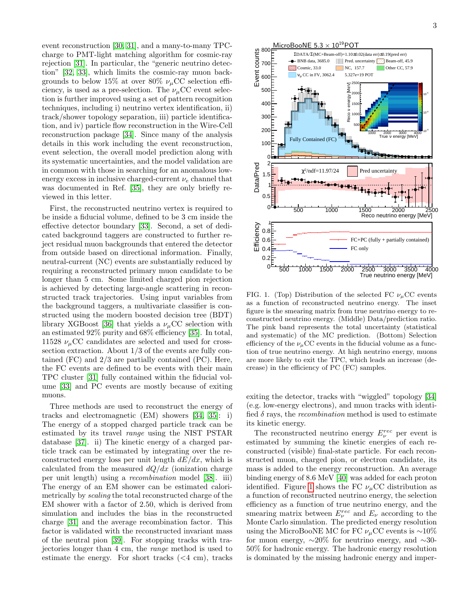event reconstruction [\[30,](#page-6-26) [31\]](#page-7-0), and a many-to-many TPCcharge to PMT-light matching algorithm for cosmic-ray rejection [\[31\]](#page-7-0). In particular, the "generic neutrino detection" [\[32,](#page-7-1) [33\]](#page-7-2), which limits the cosmic-ray muon backgrounds to below 15% at over 80%  $\nu_{\mu}$ CC selection efficiency, is used as a pre-selection. The  $\nu_{\mu}$ CC event selection is further improved using a set of pattern recognition techniques, including i) neutrino vertex identification, ii) track/shower topology separation, iii) particle identification, and iv) particle flow reconstruction in the Wire-Cell reconstruction package [\[34\]](#page-7-3). Since many of the analysis details in this work including the event reconstruction, event selection, the overall model prediction along with its systematic uncertainties, and the model validation are in common with those in searching for an anomalous lowenergy excess in inclusive charged-current  $\nu_e$  channel that was documented in Ref. [\[35\]](#page-7-4), they are only briefly reviewed in this letter.

First, the reconstructed neutrino vertex is required to be inside a fiducial volume, defined to be 3 cm inside the effective detector boundary [\[33\]](#page-7-2). Second, a set of dedicated background taggers are constructed to further reject residual muon backgrounds that entered the detector from outside based on directional information. Finally, neutral-current (NC) events are substantially reduced by requiring a reconstructed primary muon candidate to be longer than 5 cm. Some limited charged pion rejection is achieved by detecting large-angle scattering in reconstructed track trajectories. Using input variables from the background taggers, a multivariate classifier is constructed using the modern boosted decision tree (BDT) library XGBoost [\[36\]](#page-7-5) that yields a  $\nu_{\mu}$ CC selection with an estimated 92% purity and 68% efficiency [\[35\]](#page-7-4). In total, 11528  $\nu_{\mu}$ CC candidates are selected and used for crosssection extraction. About 1/3 of the events are fully contained (FC) and 2/3 are partially contained (PC). Here, the FC events are defined to be events with their main TPC cluster [\[31\]](#page-7-0) fully contained within the fiducial volume [\[33\]](#page-7-2) and PC events are mostly because of exiting muons.

Three methods are used to reconstruct the energy of tracks and electromagnetic (EM) showers [\[34,](#page-7-3) [35\]](#page-7-4): i) The energy of a stopped charged particle track can be estimated by its travel range using the NIST PSTAR database [\[37\]](#page-7-6). ii) The kinetic energy of a charged particle track can be estimated by integrating over the reconstructed energy loss per unit length  $dE/dx$ , which is calculated from the measured  $dQ/dx$  (ionization charge per unit length) using a recombination model [\[38\]](#page-7-7). iii) The energy of an EM shower can be estimated calorimetrically by scaling the total reconstructed charge of the EM shower with a factor of 2.50, which is derived from simulation and includes the bias in the reconstructed charge [\[31\]](#page-7-0) and the average recombination factor. This factor is validated with the reconstructed invariant mass of the neutral pion [\[39\]](#page-7-8). For stopping tracks with trajectories longer than 4 cm, the range method is used to estimate the energy. For short tracks (<4 cm), tracks



<span id="page-2-0"></span>FIG. 1. (Top) Distribution of the selected FC  $\nu_\mu$ CC events as a function of reconstructed neutrino energy. The inset figure is the smearing matrix from true neutrino energy to reconstructed neutrino energy. (Middle) Data/prediction ratio. The pink band represents the total uncertainty (statistical and systematic) of the MC prediction. (Bottom) Selection efficiency of the  $\nu_{\mu}$ CC events in the fiducial volume as a function of true neutrino energy. At high neutrino energy, muons are more likely to exit the TPC, which leads an increase (decrease) in the efficiency of PC (FC) samples.

exiting the detector, tracks with "wiggled" topology [\[34\]](#page-7-3) (e.g. low-energy electrons), and muon tracks with identified  $\delta$  rays, the *recombination* method is used to estimate its kinetic energy.

The reconstructed neutrino energy  $E_{\nu}^{rec}$  per event is estimated by summing the kinetic energies of each reconstructed (visible) final-state particle. For each reconstructed muon, charged pion, or electron candidate, its mass is added to the energy reconstruction. An average binding energy of 8.6 MeV [\[40\]](#page-7-9) was added for each proton identified. Figure [1](#page-2-0) shows the FC  $\nu_{\mu}$ CC distribution as a function of reconstructed neutrino energy, the selection efficiency as a function of true neutrino energy, and the smearing matrix between  $E_{\nu}^{rec}$  and  $E_{\nu}$  according to the Monte Carlo simulation. The predicted energy resolution using the MicroBooNE MC for FC  $\nu$ <sub>u</sub>CC events is ~10% for muon energy,  $\sim 20\%$  for neutrino energy, and  $\sim 30$ -50% for hadronic energy. The hadronic energy resolution is dominated by the missing hadronic energy and imper-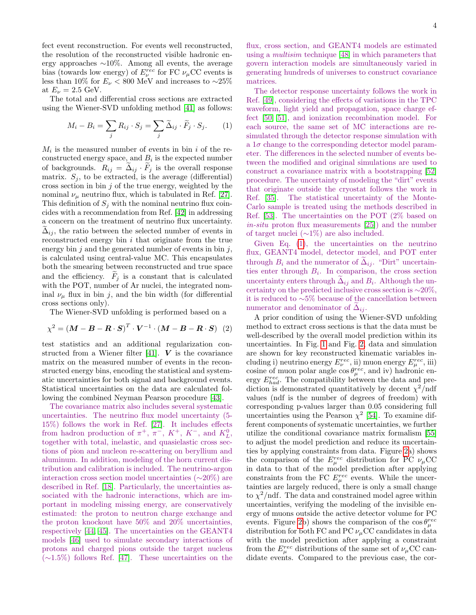fect event reconstruction. For events well reconstructed, the resolution of the reconstructed visible hadronic energy approaches ∼10%. Among all events, the average bias (towards low energy) of  $E^{rec}_{\nu}$  for FC  $\nu_{\mu}$ CC events is less than 10% for  $E_{\nu}$  < 800 MeV and increases to ~25% at  $E_{\nu} = 2.5$  GeV.

The total and differential cross sections are extracted using the Wiener-SVD unfolding method [\[41\]](#page-7-10) as follows:

<span id="page-3-0"></span>
$$
M_i - B_i = \sum_j R_{ij} \cdot S_j = \sum_j \widetilde{\Delta}_{ij} \cdot \widetilde{F}_j \cdot S_j.
$$
 (1)

 $M_i$  is the measured number of events in bin i of the reconstructed energy space, and  $B_i$  is the expected number of backgrounds.  $R_{ij} = \Delta_{ij} \cdot F_j$  is the overall response matrix.  $S_j$ , to be extracted, is the average (differential) cross section in bin  $j$  of the true energy, weighted by the nominal  $\nu_{\mu}$  neutrino flux, which is tabulated in Ref. [\[27\]](#page-6-23). This definition of  $S_j$  with the nominal neutrino flux coincides with a recommendation from Ref. [\[42\]](#page-7-11) in addressing a concern on the treatment of neutrino flux uncertainty.  $\Delta_{ij}$ , the ratio between the selected number of events in reconstructed energy bin  $i$  that originate from the true energy bin  $j$  and the generated number of events in bin  $j$ , is calculated using central-value MC. This encapsulates both the smearing between reconstructed and true space and the efficiency.  $F_j$  is a constant that is calculated with the POT, number of Ar nuclei, the integrated nominal  $\nu_{\mu}$  flux in bin j, and the bin width (for differential cross sections only).

The Wiener-SVD unfolding is performed based on a

$$
\chi^2 = \left(\boldsymbol{M} - \boldsymbol{B} - \boldsymbol{R} \cdot \boldsymbol{S}\right)^T \cdot \boldsymbol{V}^{-1} \cdot \left(\boldsymbol{M} - \boldsymbol{B} - \boldsymbol{R} \cdot \boldsymbol{S}\right) \tag{2}
$$

test statistics and an additional regularization con-structed from a Wiener filter [\[41\]](#page-7-10).  $\boldsymbol{V}$  is the covariance matrix on the measured number of events in the reconstructed energy bins, encoding the statistical and systematic uncertainties for both signal and background events. Statistical uncertainties on the data are calculated following the combined Neyman Pearson procedure [\[43\]](#page-7-12).

The covariance matrix also includes several systematic uncertainties. The neutrino flux model uncertainty (5- 15%) follows the work in Ref. [\[27\]](#page-6-23). It includes effects from hadron production of  $\pi^+$ ,  $\pi^-$ ,  $K^+$ ,  $K^-$ , and  $K^0_L$ , together with total, inelastic, and quasielastic cross sections of pion and nucleon re-scattering on beryllium and aluminum. In addition, modeling of the horn current distribution and calibration is included. The neutrino-argon interaction cross section model uncertainties (∼20%) are described in Ref. [\[18\]](#page-6-15). Particularly, the uncertainties associated with the hadronic interactions, which are important in modeling missing energy, are conservatively estimated: the proton to neutron charge exchange and the proton knockout have 50% and 20% uncertainties, respectively [\[44,](#page-7-13) [45\]](#page-7-14). The uncertainties on the GEANT4 models [\[46\]](#page-7-15) used to simulate secondary interactions of protons and charged pions outside the target nucleus (∼1.5%) follows Ref. [\[47\]](#page-7-16). These uncertainties on the

flux, cross section, and GEANT4 models are estimated using a multisim technique [\[48\]](#page-7-17) in which parameters that govern interaction models are simultaneously varied in generating hundreds of universes to construct covariance matrices.

The detector response uncertainty follows the work in Ref. [\[49\]](#page-7-18), considering the effects of variations in the TPC waveform, light yield and propagation, space charge effect [\[50,](#page-7-19) [51\]](#page-7-20), and ionization recombination model. For each source, the same set of MC interactions are resimulated through the detector response simulation with a  $1\sigma$  change to the corresponding detector model parameter. The differences in the selected number of events between the modified and original simulations are used to construct a covariance matrix with a bootstrapping [\[52\]](#page-7-21) procedure. The uncertainty of modeling the "dirt" events that originate outside the cryostat follows the work in Ref. [\[35\]](#page-7-4). The statistical uncertainty of the Monte-Carlo sample is treated using the methods described in Ref. [\[53\]](#page-7-22). The uncertainties on the POT (2% based on in-situ proton flux measurements [\[25\]](#page-6-21)) and the number of target nuclei (∼1%) are also included.

Given Eq. [\(1\)](#page-3-0), the uncertainties on the neutrino flux, GEANT4 model, detector model, and POT enter through  $B_i$  and the numerator of  $\Delta_{ij}$ . "Dirt" uncertainties enter through  $B_i$ . In comparison, the cross section uncertainty enters through  $\Delta_{ij}$  and  $B_i$ . Although the uncertainty on the predicted inclusive cross section is ∼20%, it is reduced to ∼5% because of the cancellation between numerator and denominator of  $\Delta_{ij}$ .

A prior condition of using the Wiener-SVD unfolding method to extract cross sections is that the data must be well-described by the overall model prediction within its uncertainties. In Fig. [1](#page-2-0) and Fig. [2,](#page-4-0) data and simulation are shown for key reconstructed kinematic variables including i) neutrino energy  $E_{\nu}^{rec}$ , ii) muon energy  $E_{\mu}^{rec}$ , iii) cosine of muon polar angle  $\cos \theta_{\mu}^{rec}$ , and iv) hadronic energy  $E_{had}^{rec}$ . The compatibility between the data and prediction is demonstrated quantitatively by decent  $\chi^2$ /ndf values (ndf is the number of degrees of freedom) with corresponding p-values larger than 0.05 considering full uncertainties using the Pearson  $\chi^2$  [\[54\]](#page-7-23). To examine different components of systematic uncertainties, we further utilize the conditional covariance matrix formalism [\[55\]](#page-7-24) to adjust the model prediction and reduce its uncertainties by applying constraints from data. Figure [2a](#page-4-0)) shows the comparison of the  $E_{\mu}^{rec}$  distribution for PC  $\nu_{\mu}$ CC in data to that of the model prediction after applying constraints from the FC  $E_{\mu}^{rec}$  events. While the uncertainties are largely reduced, there is only a small change to  $\chi^2$ /ndf. The data and constrained model agree within uncertainties, verifying the modeling of the invisible energy of muons outside the active detector volume for PC events. Figure [2b](#page-4-0)) shows the comparison of the  $\cos \theta_{\mu}^{rec}$ distribution for both FC and PC  $\nu_{\mu}$ CC candidates in data with the model prediction after applying a constraint from the  $E_{\mu}^{rec}$  distributions of the same set of  $\nu_{\mu}$ CC candidate events. Compared to the previous case, the cor-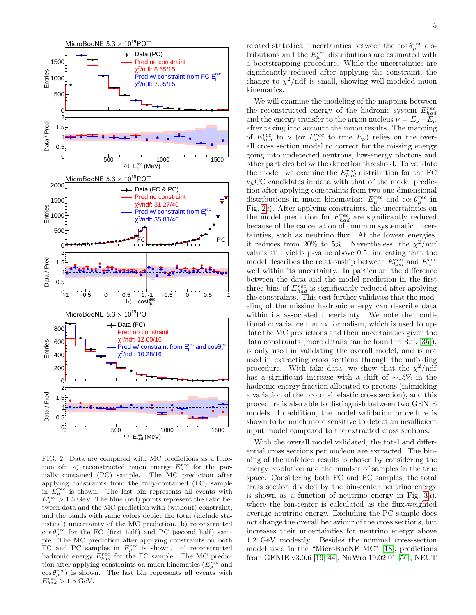

<span id="page-4-0"></span>FIG. 2. Data are compared with MC predictions as a function of: a) reconstructed muon energy  $E_{\mu}^{rec}$  for the partially contained (PC) sample. The MC prediction after applying constraints from the fully-contained (FC) sample in  $E_{\mu}^{rec}$  is shown. The last bin represents all events with  $E_{\mu}^{rec} > 1.5$  GeV. The blue (red) points represent the ratio between data and the MC prediction with (without) constraint, and the bands with same colors depict the total (include statistical) uncertainty of the MC prediction. b) reconstructed  $\cos\theta_{\mu}^{rec}$  for the FC (first half) and PC (second half) sample. The MC prediction after applying constraints on both FC and PC samples in  $E_{\mu}^{rec}$  is shown. c) reconstructed hadronic energy  $E_{had}^{rec}$  for the FC sample. The MC prediction after applying constraints on muon kinematics  $(E_{\mu}^{rec}$  and  $\cos \theta_{\mu}^{rec}$ ) is shown. The last bin represents all events with  $E_{had}^{rec} > 1.5$  GeV.

related statistical uncertainties between the  $\cos \theta_{\mu}^{rec}$  distributions and the  $E_{\mu}^{rec}$  distributions are estimated with a bootstrapping procedure. While the uncertainties are significantly reduced after applying the constraint, the change to  $\chi^2$ /ndf is small, showing well-modeled muon kinematics.

We will examine the modeling of the mapping between the reconstructed energy of the hadronic system  $E_{had}^{rec}$ and the energy transfer to the argon nucleus  $\nu = E_{\nu} - E_{\mu}$ after taking into account the muon results. The mapping of  $E_{had}^{rec}$  to  $\nu$  (or  $E_{\nu}^{rec}$  to true  $E_{\nu}$ ) relies on the overall cross section model to correct for the missing energy going into undetected neutrons, low-energy photons and other particles below the detection threshold. To validate the model, we examine the  $E_{had}^{rec}$  distribution for the FC  $\nu_\mu$ CC candidates in data with that of the model prediction after applying constraints from two one-dimensional distributions in muon kinematics:  $E_{\mu}^{rec}$  and  $\cos \theta_{\mu}^{rec}$  in Fig. [2c](#page-4-0)). After applying constraints, the uncertainties on the model prediction for  $E_{had}^{rec}$  are significantly reduced because of the cancellation of common systematic uncertainties, such as neutrino flux. At the lowest energies, it reduces from 20% to 5%. Nevertheless, the  $\chi^2/\text{ndf}$ values still yields p-value above 0.5, indicating that the model describes the relationship between  $E_{had}^{rec}$  and  $E_{\mu}^{rec}$ well within its uncertainty. In particular, the difference between the data and the model prediction in the first three bins of  $E_{had}^{rec}$  is significantly reduced after applying the constraints. This test further validates that the modeling of the missing hadronic energy can describe data within its associated uncertainty. We note the conditional covariance matrix formalism, which is used to update the MC predictions and their uncertainties given the data constraints (more details can be found in Ref. [\[35\]](#page-7-4)), is only used in validating the overall model, and is not used in extracting cross sections through the unfolding procedure. With fake data, we show that the  $\chi^2$ /ndf has a significant increase with a shift of ∼15% in the hadronic energy fraction allocated to protons (mimicking a variation of the proton-inelastic cross section), and this procedure is also able to distinguish between two GENIE models. In addition, the model validation procedure is shown to be much more sensitive to detect an insufficient input model compared to the extracted cross sections.

With the overall model validated, the total and differential cross sections per nucleon are extracted. The binning of the unfolded results is chosen by considering the energy resolution and the number of samples in the true space. Considering both FC and PC samples, the total cross section divided by the bin-center neutrino energy is shown as a function of neutrino energy in Fig. [3a](#page-5-0)), where the bin-center is calculated as the flux-weighted average neutrino energy. Excluding the PC sample does not change the overall behaviour of the cross sections, but increases their uncertainties for neutrino energy above 1.2 GeV modestly. Besides the nominal cross-section model used in the "MicroBooNE MC" [\[18\]](#page-6-15), predictions from GENIE v3.0.6 [\[19,](#page-6-16) [44\]](#page-7-13), NuWro 19.02.01 [\[56\]](#page-7-25), NEUT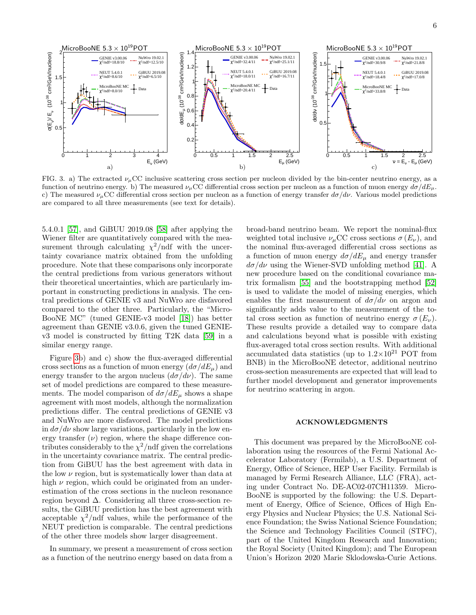

<span id="page-5-0"></span>FIG. 3. a) The extracted  $\nu_{\mu}$ CC inclusive scattering cross section per nucleon divided by the bin-center neutrino energy, as a function of neutrino energy. b) The measured  $\nu_{\mu}$ CC differential cross section per nucleon as a function of muon energy  $d\sigma/dE_{\mu}$ . c) The measured  $\nu_{\mu}$ CC differential cross section per nucleon as a function of energy transfer  $d\sigma/d\nu$ . Various model predictions are compared to all three measurements (see text for details).

5.4.0.1 [\[57\]](#page-7-26), and GiBUU 2019.08 [\[58\]](#page-7-27) after applying the Wiener filter are quantitatively compared with the measurement through calculating  $\chi^2$ /ndf with the uncertainty covariance matrix obtained from the unfolding procedure. Note that these comparisons only incorporate the central predictions from various generators without their theoretical uncertainties, which are particularly important in constructing predictions in analysis. The central predictions of GENIE v3 and NuWro are disfavored compared to the other three. Particularly, the "Micro-BooNE MC" (tuned GENIE-v3 model [\[18\]](#page-6-15)) has better agreement than GENIE v3.0.6, given the tuned GENIEv3 model is constructed by fitting T2K data [\[59\]](#page-7-28) in a similar energy range.

Figure [3b](#page-5-0)) and c) show the flux-averaged differential cross sections as a function of muon energy  $(d\sigma/dE_{\mu})$  and energy transfer to the argon nucleus  $(d\sigma/d\nu)$ . The same set of model predictions are compared to these measurements. The model comparison of  $d\sigma/dE_{\mu}$  shows a shape agreement with most models, although the normalization predictions differ. The central predictions of GENIE v3 and NuWro are more disfavored. The model predictions in  $d\sigma/d\nu$  show large variations, particularly in the low energy transfer  $(\nu)$  region, where the shape difference contributes considerably to the  $\chi^2$ /ndf given the correlations in the uncertainty covariance matrix. The central prediction from GiBUU has the best agreement with data in the low  $\nu$  region, but is systematically lower than data at high  $\nu$  region, which could be originated from an underestimation of the cross sections in the nucleon resonance region beyond ∆. Considering all three cross-section results, the GiBUU prediction has the best agreement with acceptable  $\chi^2$ /ndf values, while the performance of the NEUT prediction is comparable. The central predictions of the other three models show larger disagreement.

In summary, we present a measurement of cross section as a function of the neutrino energy based on data from a

broad-band neutrino beam. We report the nominal-flux weighted total inclusive  $\nu_{\mu}$ CC cross sections  $\sigma(E_{\nu})$ , and the nominal flux-averaged differential cross sections as a function of muon energy  $d\sigma/dE_{\mu}$  and energy transfer  $d\sigma/d\nu$  using the Wiener-SVD unfolding method [\[41\]](#page-7-10). A new procedure based on the conditional covariance matrix formalism [\[55\]](#page-7-24) and the bootstrapping method [\[52\]](#page-7-21) is used to validate the model of missing energies, which enables the first measurement of  $d\sigma/d\nu$  on argon and significantly adds value to the measurement of the total cross section as function of neutrino energy  $\sigma(E_{\nu})$ . These results provide a detailed way to compare data and calculations beyond what is possible with existing flux-averaged total cross section results. With additional accumulated data statistics (up to  $1.2 \times 10^{21}$  POT from BNB) in the MicroBooNE detector, additional neutrino cross-section measurements are expected that will lead to further model development and generator improvements for neutrino scattering in argon.

## ACKNOWLEDGMENTS

This document was prepared by the MicroBooNE collaboration using the resources of the Fermi National Accelerator Laboratory (Fermilab), a U.S. Department of Energy, Office of Science, HEP User Facility. Fermilab is managed by Fermi Research Alliance, LLC (FRA), acting under Contract No. DE-AC02-07CH11359. Micro-BooNE is supported by the following: the U.S. Department of Energy, Office of Science, Offices of High Energy Physics and Nuclear Physics; the U.S. National Science Foundation; the Swiss National Science Foundation; the Science and Technology Facilities Council (STFC), part of the United Kingdom Research and Innovation; the Royal Society (United Kingdom); and The European Union's Horizon 2020 Marie Sklodowska-Curie Actions.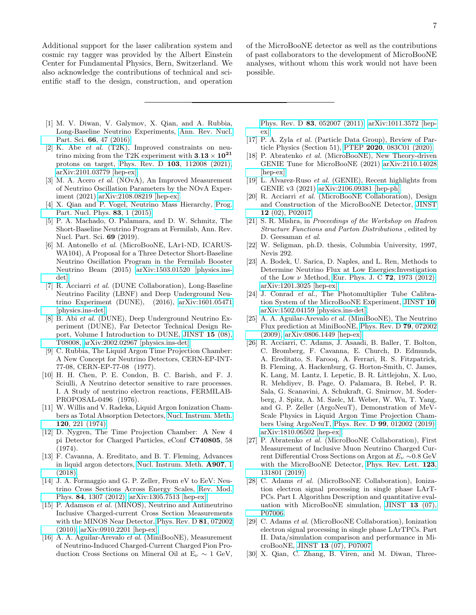Additional support for the laser calibration system and cosmic ray tagger was provided by the Albert Einstein Center for Fundamental Physics, Bern, Switzerland. We also acknowledge the contributions of technical and scientific staff to the design, construction, and operation of the MicroBooNE detector as well as the contributions of past collaborators to the development of MicroBooNE analyses, without whom this work would not have been possible.

- <span id="page-6-0"></span>[1] M. V. Diwan, V. Galymov, X. Qian, and A. Rubbia, Long-Baseline Neutrino Experiments, [Ann. Rev. Nucl.](https://doi.org/10.1146/annurev-nucl-102014-021939) Part. Sci. 66[, 47 \(2016\).](https://doi.org/10.1146/annurev-nucl-102014-021939)
- <span id="page-6-1"></span>[2] K. Abe et al. (T2K), Improved constraints on neutrino mixing from the T2K experiment with  $3.13 \times 10^{21}$ protons on target, Phys. Rev. D 103[, 112008 \(2021\),](https://doi.org/10.1103/PhysRevD.103.112008) [arXiv:2101.03779 \[hep-ex\].](https://arxiv.org/abs/2101.03779)
- <span id="page-6-2"></span>[3] M. A. Acero et al. (NOvA), An Improved Measurement of Neutrino Oscillation Parameters by the NOvA Experiment (2021) [arXiv:2108.08219 \[hep-ex\].](https://arxiv.org/abs/2108.08219)
- <span id="page-6-3"></span>[4] X. Qian and P. Vogel, Neutrino Mass Hierarchy, [Prog.](https://doi.org/10.1016/j.ppnp.2015.05.002) [Part. Nucl. Phys.](https://doi.org/10.1016/j.ppnp.2015.05.002) 83, 1 (2015).
- <span id="page-6-4"></span>[5] P. A. Machado, O. Palamara, and D. W. Schmitz, The Short-Baseline Neutrino Program at Fermilab, Ann. Rev. Nucl. Part. Sci. 69 (2019).
- <span id="page-6-5"></span>[6] M. Antonello et al. (MicroBooNE, LAr1-ND, ICARUS-WA104), A Proposal for a Three Detector Short-Baseline Neutrino Oscillation Program in the Fermilab Booster Neutrino Beam (2015) [arXiv:1503.01520 \[physics.ins](https://arxiv.org/abs/1503.01520)[det\].](https://arxiv.org/abs/1503.01520)
- <span id="page-6-6"></span>[7] R. Acciarri et al. (DUNE Collaboration), Long-Baseline Neutrino Facility (LBNF) and Deep Underground Neutrino Experiment (DUNE), (2016), [arXiv:1601.05471](https://arxiv.org/abs/1601.05471) [\[physics.ins-det\].](https://arxiv.org/abs/1601.05471)
- <span id="page-6-7"></span>[8] B. Abi et al. (DUNE), Deep Underground Neutrino Experiment (DUNE), Far Detector Technical Design Report, Volume I Introduction to DUNE, [JINST](https://doi.org/10.1088/1748-0221/15/08/T08008) 15 (08), [T08008,](https://doi.org/10.1088/1748-0221/15/08/T08008) [arXiv:2002.02967 \[physics.ins-det\].](https://arxiv.org/abs/2002.02967)
- <span id="page-6-8"></span>[9] C. Rubbia, The Liquid Argon Time Projection Chamber: A New Concept for Neutrino Detectors, CERN-EP-INT-77-08, CERN-EP-77-08 (1977).
- [10] H. H. Chen, P. E. Condon, B. C. Barish, and F. J. Sciulli, A Neutrino detector sensitive to rare processes. I. A Study of neutrino electron reactions, FERMILAB-PROPOSAL-0496 (1976).
- [11] W. Willis and V. Radeka, Liquid Argon Ionization Chambers as Total Absorption Detectors, [Nucl. Instrum. Meth.](https://doi.org/10.1016/0029-554X(74)90039-1) 120[, 221 \(1974\).](https://doi.org/10.1016/0029-554X(74)90039-1)
- <span id="page-6-9"></span>[12] D. Nygren, The Time Projection Chamber: A New 4 pi Detector for Charged Particles, eConf C740805, 58 (1974).
- <span id="page-6-10"></span>[13] F. Cavanna, A. Ereditato, and B. T. Fleming, Advances in liquid argon detectors, [Nucl. Instrum. Meth.](https://doi.org/10.1016/j.nima.2018.07.010) A907, 1 [\(2018\).](https://doi.org/10.1016/j.nima.2018.07.010)
- <span id="page-6-11"></span>[14] J. A. Formaggio and G. P. Zeller, From eV to EeV: Neutrino Cross Sections Across Energy Scales, [Rev. Mod.](https://doi.org/10.1103/RevModPhys.84.1307) Phys. 84[, 1307 \(2012\),](https://doi.org/10.1103/RevModPhys.84.1307) [arXiv:1305.7513 \[hep-ex\].](https://arxiv.org/abs/1305.7513)
- <span id="page-6-12"></span>[15] P. Adamson et al. (MINOS), Neutrino and Antineutrino Inclusive Charged-current Cross Section Measurements with the MINOS Near Detector, [Phys. Rev. D](https://doi.org/10.1103/PhysRevD.81.072002) 81, 072002 [\(2010\),](https://doi.org/10.1103/PhysRevD.81.072002) [arXiv:0910.2201 \[hep-ex\].](https://arxiv.org/abs/0910.2201)
- <span id="page-6-13"></span>[16] A. A. Aguilar-Arevalo et al. (MiniBooNE), Measurement of Neutrino-Induced Charged-Current Charged Pion Production Cross Sections on Mineral Oil at  $E_{\nu} \sim 1$  GeV,

Phys. Rev. D 83[, 052007 \(2011\),](https://doi.org/10.1103/PhysRevD.83.052007) [arXiv:1011.3572 \[hep](https://arxiv.org/abs/1011.3572)[ex\].](https://arxiv.org/abs/1011.3572)

- <span id="page-6-14"></span>[17] P. A. Zyla et al. (Particle Data Group), Review of Particle Physics (Section 51), PTEP 2020[, 083C01 \(2020\).](https://doi.org/10.1093/ptep/ptaa104)
- <span id="page-6-15"></span>[18] P. Abratenko et al. (MicroBooNE), New Theory-driven GENIE Tune for MicroBooNE (2021) [arXiv:2110.14028](https://arxiv.org/abs/2110.14028) [\[hep-ex\].](https://arxiv.org/abs/2110.14028)
- <span id="page-6-16"></span>[19] L. Alvarez-Ruso et al. (GENIE), Recent highlights from GENIE v3 (2021) [arXiv:2106.09381 \[hep-ph\].](https://arxiv.org/abs/2106.09381)
- <span id="page-6-17"></span>[20] R. Acciarri et al. (MicroBooNE Collaboration), Design and Construction of the MicroBooNE Detector, [JINST](https://doi.org/10.1088/1748-0221/12/02/P02017) 12 [\(02\), P02017.](https://doi.org/10.1088/1748-0221/12/02/P02017)
- <span id="page-6-18"></span>[21] S. R. Mishra, in Proceedings of the Workshop on Hadron Structure Functions and Parton Distributions , edited by D. Geesaman et al.
- [22] W. Seligman, ph.D. thesis, Columbia University, 1997, Nevis 292.
- <span id="page-6-19"></span>[23] A. Bodek, U. Sarica, D. Naples, and L. Ren, Methods to Determine Neutrino Flux at Low Energies:Investigation of the Low  $\nu$  Method, [Eur. Phys. J. C](https://doi.org/10.1140/epjc/s10052-012-1973-6) 72, 1973 (2012), [arXiv:1201.3025 \[hep-ex\].](https://arxiv.org/abs/1201.3025)
- <span id="page-6-20"></span>[24] J. Conrad et al., The Photomultiplier Tube Calibration System of the MicroBooNE Experiment, [JINST](https://doi.org/10.1088/1748-0221/10/06/T06001) 10, [arXiv:1502.04159 \[physics.ins-det\].](https://arxiv.org/abs/1502.04159)
- <span id="page-6-21"></span>[25] A. A. Aguilar-Arevalo et al. (MiniBooNE), The Neutrino Flux prediction at MiniBooNE, [Phys. Rev. D](https://doi.org/10.1103/PhysRevD.79.072002) 79, 072002 [\(2009\),](https://doi.org/10.1103/PhysRevD.79.072002) [arXiv:0806.1449 \[hep-ex\].](https://arxiv.org/abs/0806.1449)
- <span id="page-6-22"></span>[26] R. Acciarri, C. Adams, J. Asaadi, B. Baller, T. Bolton, C. Bromberg, F. Cavanna, E. Church, D. Edmunds, A. Ereditato, S. Farooq, A. Ferrari, R. S. Fitzpatrick, B. Fleming, A. Hackenburg, G. Horton-Smith, C. James, K. Lang, M. Lantz, I. Lepetic, B. R. Littlejohn, X. Luo, R. Mehdiyev, B. Page, O. Palamara, B. Rebel, P. R. Sala, G. Scanavini, A. Schukraft, G. Smirnov, M. Soderberg, J. Spitz, A. M. Szelc, M. Weber, W. Wu, T. Yang, and G. P. Zeller (ArgoNeuT), Demonstration of MeV-Scale Physics in Liquid Argon Time Projection Chambers Using ArgoNeuT, Phys. Rev. D 99[, 012002 \(2019\),](https://doi.org/10.1103/PhysRevD.99.012002) [arXiv:1810.06502 \[hep-ex\].](https://arxiv.org/abs/1810.06502)
- <span id="page-6-23"></span>[27] P. Abratenko et al. (MicroBooNE Collaboration), First Measurement of Inclusive Muon Neutrino Charged Current Differential Cross Sections on Argon at E<sup>ν</sup> ∼0.8 GeV with the MicroBooNE Detector, [Phys. Rev. Lett.](https://doi.org/10.1103/PhysRevLett.123.131801) 123, [131801 \(2019\).](https://doi.org/10.1103/PhysRevLett.123.131801)
- <span id="page-6-24"></span>[28] C. Adams et al. (MicroBooNE Collaboration), Ionization electron signal processing in single phase LArT-PCs. Part I. Algorithm Description and quantitative evaluation with MicroBooNE simulation, [JINST](https://doi.org/10.1088/1748-0221/13/07/P07006) 13 (07), [P07006.](https://doi.org/10.1088/1748-0221/13/07/P07006)
- <span id="page-6-25"></span>[29] C. Adams et al. (MicroBooNE Collaboration), Ionization electron signal processing in single phase LArTPCs. Part II. Data/simulation comparison and performance in MicroBooNE, JINST 13 [\(07\), P07007.](https://doi.org/10.1088/1748-0221/13/07/P07007)
- <span id="page-6-26"></span>[30] X. Qian, C. Zhang, B. Viren, and M. Diwan, Three-